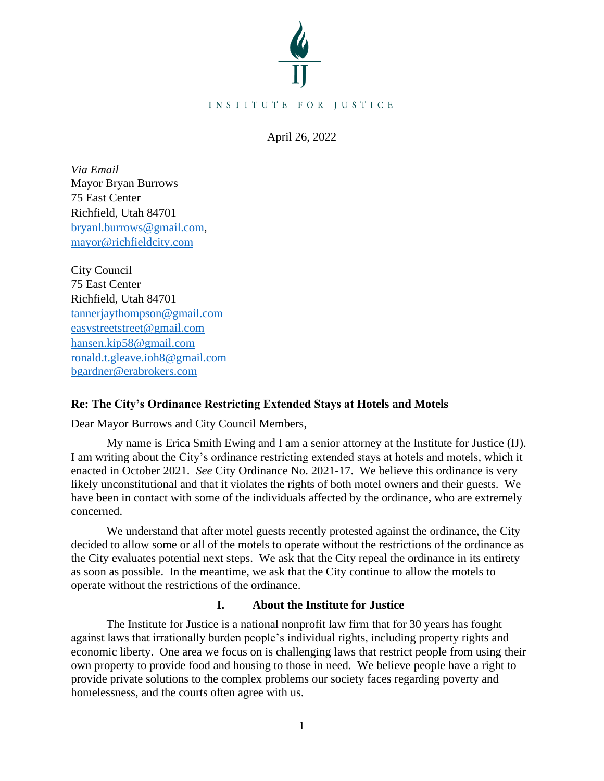

April 26, 2022

*Via Email* Mayor Bryan Burrows 75 East Center Richfield, Utah 84701 [bryanl.burrows@gmail.com,](mailto:bryanl.burrows@gmail.com) [mayor@richfieldcity.com](mailto:mayor@richfieldcity.com)

City Council 75 East Center Richfield, Utah 84701 [tannerjaythompson@gmail.com](mailto:tannerjaythompson@gmail.com) [easystreetstreet@gmail.com](mailto:easystreetstreet@gmail.com) [hansen.kip58@gmail.com](mailto:hansen.kip58@gmail.com) [ronald.t.gleave.ioh8@gmail.com](mailto:ronald.t.gleave.ioh8@gmail.com) [bgardner@erabrokers.com](mailto:bgardner@erabrokers.com)

# **Re: The City's Ordinance Restricting Extended Stays at Hotels and Motels**

Dear Mayor Burrows and City Council Members,

My name is Erica Smith Ewing and I am a senior attorney at the Institute for Justice (IJ). I am writing about the City's ordinance restricting extended stays at hotels and motels, which it enacted in October 2021. *See* City Ordinance No. 2021-17. We believe this ordinance is very likely unconstitutional and that it violates the rights of both motel owners and their guests. We have been in contact with some of the individuals affected by the ordinance, who are extremely concerned.

We understand that after motel guests recently protested against the ordinance, the City decided to allow some or all of the motels to operate without the restrictions of the ordinance as the City evaluates potential next steps. We ask that the City repeal the ordinance in its entirety as soon as possible. In the meantime, we ask that the City continue to allow the motels to operate without the restrictions of the ordinance.

# **I. About the Institute for Justice**

The Institute for Justice is a national nonprofit law firm that for 30 years has fought against laws that irrationally burden people's individual rights, including property rights and economic liberty. One area we focus on is challenging laws that restrict people from using their own property to provide food and housing to those in need. We believe people have a right to provide private solutions to the complex problems our society faces regarding poverty and homelessness, and the courts often agree with us.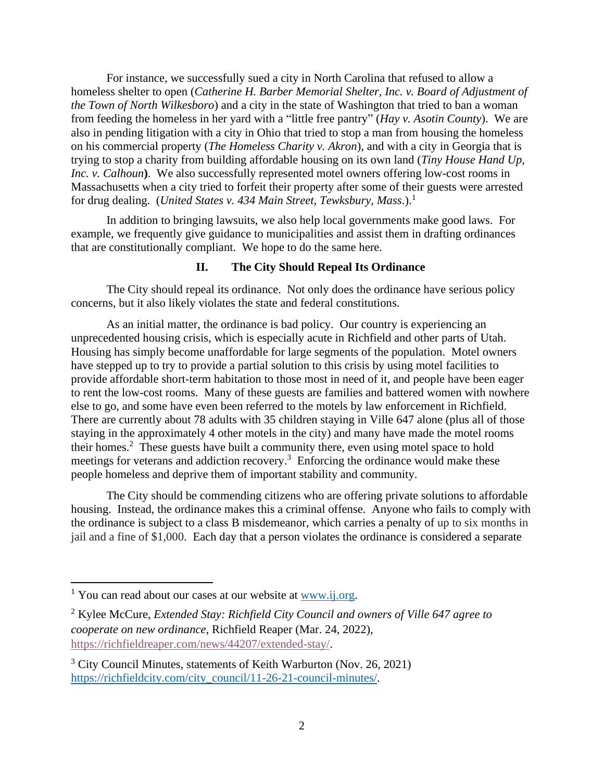For instance, we successfully sued a city in North Carolina that refused to allow a homeless shelter to open (*Catherine H. Barber Memorial Shelter, Inc. v. Board of Adjustment of the Town of North Wilkesboro*) and a city in the state of Washington that tried to ban a woman from feeding the homeless in her yard with a "little free pantry" (*Hay v. Asotin County*). We are also in pending litigation with a city in Ohio that tried to stop a man from housing the homeless on his commercial property (*The Homeless Charity v. Akron*), and with a city in Georgia that is trying to stop a charity from building affordable housing on its own land (*Tiny House Hand Up, Inc. v. Calhoun*). We also successfully represented motel owners offering low-cost rooms in Massachusetts when a city tried to forfeit their property after some of their guests were arrested for drug dealing. (*United States v. 434 Main Street, Tewksbury, Mass*.).<sup>1</sup>

In addition to bringing lawsuits, we also help local governments make good laws. For example, we frequently give guidance to municipalities and assist them in drafting ordinances that are constitutionally compliant. We hope to do the same here.

# **II. The City Should Repeal Its Ordinance**

The City should repeal its ordinance. Not only does the ordinance have serious policy concerns, but it also likely violates the state and federal constitutions.

As an initial matter, the ordinance is bad policy. Our country is experiencing an unprecedented housing crisis, which is especially acute in Richfield and other parts of Utah. Housing has simply become unaffordable for large segments of the population. Motel owners have stepped up to try to provide a partial solution to this crisis by using motel facilities to provide affordable short-term habitation to those most in need of it, and people have been eager to rent the low-cost rooms. Many of these guests are families and battered women with nowhere else to go, and some have even been referred to the motels by law enforcement in Richfield. There are currently about 78 adults with 35 children staying in Ville 647 alone (plus all of those staying in the approximately 4 other motels in the city) and many have made the motel rooms their homes. 2 These guests have built a community there, even using motel space to hold meetings for veterans and addiction recovery.<sup>3</sup> Enforcing the ordinance would make these people homeless and deprive them of important stability and community.

The City should be commending citizens who are offering private solutions to affordable housing. Instead, the ordinance makes this a criminal offense. Anyone who fails to comply with the ordinance is subject to a class B misdemeanor, which carries a penalty of up to six months in jail and a fine of \$1,000. Each day that a person violates the ordinance is considered a separate

<sup>&</sup>lt;sup>1</sup> You can read about our cases at our website at  $\frac{www.ij.org}{n}$ .

<sup>2</sup> Kylee McCure, *Extended Stay: Richfield City Council and owners of Ville 647 agree to cooperate on new ordinance*, Richfield Reaper (Mar. 24, 2022), [https://richfieldreaper.com/news/44207/extended-stay/.](https://richfieldreaper.com/news/44207/extended-stay/)

 $3$  City Council Minutes, statements of Keith Warburton (Nov. 26, 2021) [https://richfieldcity.com/city\\_council/11-26-21-council-minutes/.](https://richfieldcity.com/city_council/11-26-21-council-minutes/)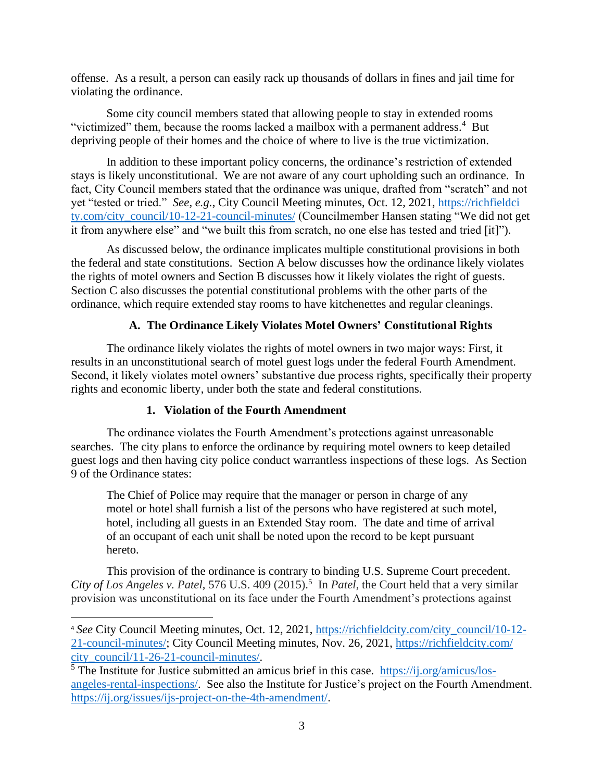offense. As a result, a person can easily rack up thousands of dollars in fines and jail time for violating the ordinance.

Some city council members stated that allowing people to stay in extended rooms "victimized" them, because the rooms lacked a mailbox with a permanent address.<sup>4</sup> But depriving people of their homes and the choice of where to live is the true victimization.

In addition to these important policy concerns, the ordinance's restriction of extended stays is likely unconstitutional. We are not aware of any court upholding such an ordinance. In fact, City Council members stated that the ordinance was unique, drafted from "scratch" and not yet "tested or tried." *See, e.g.*, City Council Meeting minutes, Oct. 12, 2021, [https://richfieldci](https://richfieldcity.com/‌city_council/10-12-21-council-minutes/) [ty.com/city\\_council/10-12-21-council-minutes/](https://richfieldcity.com/‌city_council/10-12-21-council-minutes/) (Councilmember Hansen stating "We did not get it from anywhere else" and "we built this from scratch, no one else has tested and tried [it]").

As discussed below, the ordinance implicates multiple constitutional provisions in both the federal and state constitutions. Section A below discusses how the ordinance likely violates the rights of motel owners and Section B discusses how it likely violates the right of guests. Section C also discusses the potential constitutional problems with the other parts of the ordinance, which require extended stay rooms to have kitchenettes and regular cleanings.

# **A. The Ordinance Likely Violates Motel Owners' Constitutional Rights**

The ordinance likely violates the rights of motel owners in two major ways: First, it results in an unconstitutional search of motel guest logs under the federal Fourth Amendment. Second, it likely violates motel owners' substantive due process rights, specifically their property rights and economic liberty, under both the state and federal constitutions.

#### **1. Violation of the Fourth Amendment**

The ordinance violates the Fourth Amendment's protections against unreasonable searches. The city plans to enforce the ordinance by requiring motel owners to keep detailed guest logs and then having city police conduct warrantless inspections of these logs. As Section 9 of the Ordinance states:

The Chief of Police may require that the manager or person in charge of any motel or hotel shall furnish a list of the persons who have registered at such motel, hotel, including all guests in an Extended Stay room. The date and time of arrival of an occupant of each unit shall be noted upon the record to be kept pursuant hereto.

This provision of the ordinance is contrary to binding U.S. Supreme Court precedent. City of Los Angeles v. Patel, 576 U.S. 409 (2015).<sup>5</sup> In *Patel*, the Court held that a very similar provision was unconstitutional on its face under the Fourth Amendment's protections against

<sup>4</sup> *See* City Council Meeting minutes, Oct. 12, 2021, [https://richfieldcity.com/city\\_council/10-12-](https://richfieldcity.com/city_council/10-12-21-council-minutes/) [21-council-minutes/;](https://richfieldcity.com/city_council/10-12-21-council-minutes/) City Council Meeting minutes, Nov. 26, 2021, [https://richfieldcity.com/](https://richfieldcity.com/city_council/11-26-21-council-minutes/) [city\\_council/11-26-21-council-minutes/.](https://richfieldcity.com/city_council/11-26-21-council-minutes/)

 $<sup>5</sup>$  The Institute for Justice submitted an amicus brief in this case. https://ij.org/amicus/los-</sup> [angeles-rental-inspections/.](https://ij.org/amicus/los-angeles-rental-inspections/) See also the Institute for Justice's project on the Fourth Amendment. [https://ij.org/issues/ijs-project-on-the-4th-amendment/.](https://ij.org/issues/ijs-project-on-the-4th-amendment/)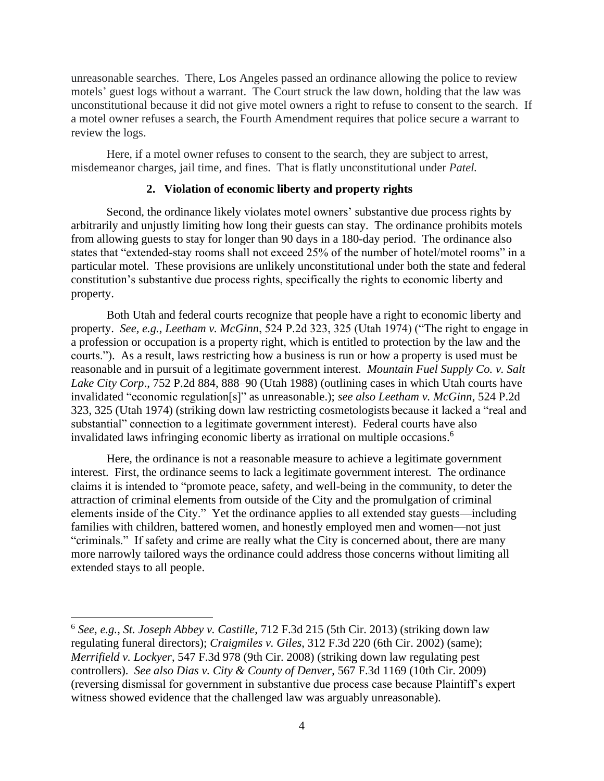unreasonable searches. There, Los Angeles passed an ordinance allowing the police to review motels' guest logs without a warrant. The Court struck the law down, holding that the law was unconstitutional because it did not give motel owners a right to refuse to consent to the search. If a motel owner refuses a search, the Fourth Amendment requires that police secure a warrant to review the logs.

Here, if a motel owner refuses to consent to the search, they are subject to arrest, misdemeanor charges, jail time, and fines. That is flatly unconstitutional under *Patel.*

### **2. Violation of economic liberty and property rights**

Second, the ordinance likely violates motel owners' substantive due process rights by arbitrarily and unjustly limiting how long their guests can stay. The ordinance prohibits motels from allowing guests to stay for longer than 90 days in a 180-day period. The ordinance also states that "extended-stay rooms shall not exceed 25% of the number of hotel/motel rooms" in a particular motel. These provisions are unlikely unconstitutional under both the state and federal constitution's substantive due process rights, specifically the rights to economic liberty and property.

Both Utah and federal courts recognize that people have a right to economic liberty and property. *See, e.g.*, *Leetham v. McGinn*, 524 P.2d 323, 325 (Utah 1974) ("The right to engage in a profession or occupation is a property right, which is entitled to protection by the law and the courts."). As a result, laws restricting how a business is run or how a property is used must be reasonable and in pursuit of a legitimate government interest. *Mountain Fuel Supply Co. v. Salt Lake City Corp*., 752 P.2d 884, 888–90 (Utah 1988) (outlining cases in which Utah courts have invalidated "economic regulation[s]" as unreasonable.); *see also Leetham v. McGinn*, 524 P.2d 323, 325 (Utah 1974) (striking down law restricting cosmetologists because it lacked a "real and substantial" connection to a legitimate government interest). Federal courts have also invalidated laws infringing economic liberty as irrational on multiple occasions. 6

Here, the ordinance is not a reasonable measure to achieve a legitimate government interest. First, the ordinance seems to lack a legitimate government interest. The ordinance claims it is intended to "promote peace, safety, and well-being in the community, to deter the attraction of criminal elements from outside of the City and the promulgation of criminal elements inside of the City." Yet the ordinance applies to all extended stay guests—including families with children, battered women, and honestly employed men and women—not just "criminals." If safety and crime are really what the City is concerned about, there are many more narrowly tailored ways the ordinance could address those concerns without limiting all extended stays to all people.

<sup>6</sup> *See, e.g.*, *St. Joseph Abbey v. Castille*, 712 F.3d 215 (5th Cir. 2013) (striking down law regulating funeral directors); *Craigmiles v. Giles*, 312 F.3d 220 (6th Cir. 2002) (same); *Merrifield v. Lockyer*, 547 F.3d 978 (9th Cir. 2008) (striking down law regulating pest controllers). *See also Dias v. City & County of Denver*, 567 F.3d 1169 (10th Cir. 2009) (reversing dismissal for government in substantive due process case because Plaintiff's expert witness showed evidence that the challenged law was arguably unreasonable).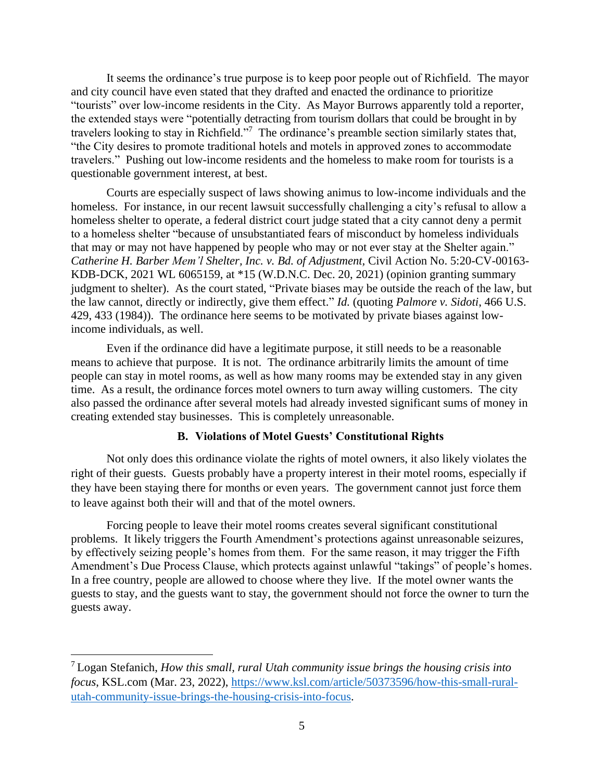It seems the ordinance's true purpose is to keep poor people out of Richfield. The mayor and city council have even stated that they drafted and enacted the ordinance to prioritize "tourists" over low-income residents in the City. As Mayor Burrows apparently told a reporter, the extended stays were "potentially detracting from tourism dollars that could be brought in by travelers looking to stay in Richfield."<sup>7</sup> The ordinance's preamble section similarly states that, "the City desires to promote traditional hotels and motels in approved zones to accommodate travelers." Pushing out low-income residents and the homeless to make room for tourists is a questionable government interest, at best.

Courts are especially suspect of laws showing animus to low-income individuals and the homeless. For instance, in our recent lawsuit successfully challenging a city's refusal to allow a homeless shelter to operate, a federal district court judge stated that a city cannot deny a permit to a homeless shelter "because of unsubstantiated fears of misconduct by homeless individuals that may or may not have happened by people who may or not ever stay at the Shelter again." *Catherine H. Barber Mem'l Shelter, Inc. v. Bd. of Adjustment,* Civil Action No. 5:20-CV-00163- KDB-DCK, 2021 WL 6065159, at \*15 (W.D.N.C. Dec. 20, 2021) (opinion granting summary judgment to shelter).As the court stated, "Private biases may be outside the reach of the law, but the law cannot, directly or indirectly, give them effect." *Id.* (quoting *Palmore v. Sidoti*, 466 U.S. 429, 433 (1984)). The ordinance here seems to be motivated by private biases against lowincome individuals, as well.

Even if the ordinance did have a legitimate purpose, it still needs to be a reasonable means to achieve that purpose. It is not. The ordinance arbitrarily limits the amount of time people can stay in motel rooms, as well as how many rooms may be extended stay in any given time. As a result, the ordinance forces motel owners to turn away willing customers. The city also passed the ordinance after several motels had already invested significant sums of money in creating extended stay businesses. This is completely unreasonable.

#### **B. Violations of Motel Guests' Constitutional Rights**

Not only does this ordinance violate the rights of motel owners, it also likely violates the right of their guests. Guests probably have a property interest in their motel rooms, especially if they have been staying there for months or even years. The government cannot just force them to leave against both their will and that of the motel owners.

Forcing people to leave their motel rooms creates several significant constitutional problems. It likely triggers the Fourth Amendment's protections against unreasonable seizures, by effectively seizing people's homes from them. For the same reason, it may trigger the Fifth Amendment's Due Process Clause, which protects against unlawful "takings" of people's homes. In a free country, people are allowed to choose where they live. If the motel owner wants the guests to stay, and the guests want to stay, the government should not force the owner to turn the guests away.

<sup>7</sup> Logan Stefanich, *How this small, rural Utah community issue brings the housing crisis into focus*, KSL.com (Mar. 23, 2022), [https://www.ksl.com/article/50373596/how-this-small-rural](https://www.ksl.com/article/50373596/how-this-small-rural-utah-community-issue-brings-the-housing-crisis-into-focus)[utah-community-issue-brings-the-housing-crisis-into-focus.](https://www.ksl.com/article/50373596/how-this-small-rural-utah-community-issue-brings-the-housing-crisis-into-focus)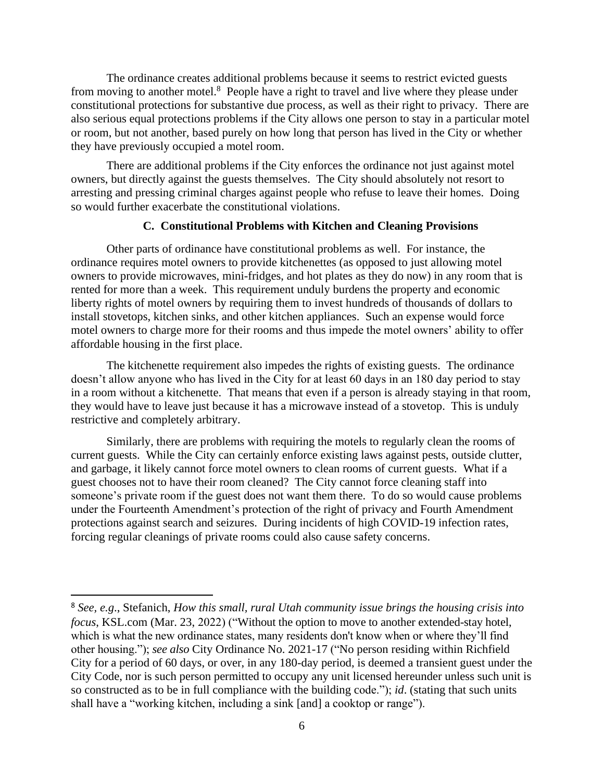The ordinance creates additional problems because it seems to restrict evicted guests from moving to another motel.<sup>8</sup> People have a right to travel and live where they please under constitutional protections for substantive due process, as well as their right to privacy. There are also serious equal protections problems if the City allows one person to stay in a particular motel or room, but not another, based purely on how long that person has lived in the City or whether they have previously occupied a motel room.

There are additional problems if the City enforces the ordinance not just against motel owners, but directly against the guests themselves. The City should absolutely not resort to arresting and pressing criminal charges against people who refuse to leave their homes. Doing so would further exacerbate the constitutional violations.

#### **C. Constitutional Problems with Kitchen and Cleaning Provisions**

Other parts of ordinance have constitutional problems as well. For instance, the ordinance requires motel owners to provide kitchenettes (as opposed to just allowing motel owners to provide microwaves, mini-fridges, and hot plates as they do now) in any room that is rented for more than a week. This requirement unduly burdens the property and economic liberty rights of motel owners by requiring them to invest hundreds of thousands of dollars to install stovetops, kitchen sinks, and other kitchen appliances. Such an expense would force motel owners to charge more for their rooms and thus impede the motel owners' ability to offer affordable housing in the first place.

The kitchenette requirement also impedes the rights of existing guests. The ordinance doesn't allow anyone who has lived in the City for at least 60 days in an 180 day period to stay in a room without a kitchenette. That means that even if a person is already staying in that room, they would have to leave just because it has a microwave instead of a stovetop. This is unduly restrictive and completely arbitrary.

Similarly, there are problems with requiring the motels to regularly clean the rooms of current guests. While the City can certainly enforce existing laws against pests, outside clutter, and garbage, it likely cannot force motel owners to clean rooms of current guests. What if a guest chooses not to have their room cleaned? The City cannot force cleaning staff into someone's private room if the guest does not want them there. To do so would cause problems under the Fourteenth Amendment's protection of the right of privacy and Fourth Amendment protections against search and seizures. During incidents of high COVID-19 infection rates, forcing regular cleanings of private rooms could also cause safety concerns.

<sup>8</sup> *See, e.g*., Stefanich, *How this small, rural Utah community issue brings the housing crisis into focus*, KSL.com (Mar. 23, 2022) ("Without the option to move to another extended-stay hotel, which is what the new ordinance states, many residents don't know when or where they'll find other housing."); *see also* City Ordinance No. 2021-17 ("No person residing within Richfield City for a period of 60 days, or over, in any 180-day period, is deemed a transient guest under the City Code, nor is such person permitted to occupy any unit licensed hereunder unless such unit is so constructed as to be in full compliance with the building code."); *id*. (stating that such units shall have a "working kitchen, including a sink [and] a cooktop or range").